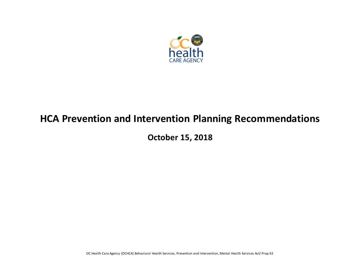

# **HCA Prevention and Intervention Planning Recommendations**

**October 15, 2018**

OC Health Care Agency (OCHCA) Behavioral Health Services, Prevention and Intervention, Mental Health Services Act/ Prop 63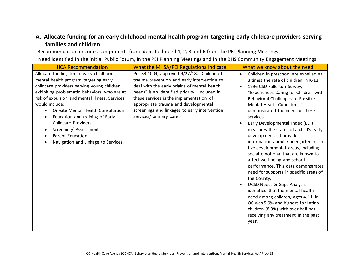# **A. Allocate funding for an early childhood mental health program targeting early childcare providers serving families and children**

Recommendation includes components from identified need 1, 2, 3 and 6 from the PEI Planning Meetings.

| <b>HCA Recommendation</b>                                                                                                                                                                                                                                                                                                                                                                                                                     | <b>What the MHSA/PEI Regulations Indicate</b>                                                                                                                                                                                                                                                                                                            | What we know about the need                                                                                                                                                                                                                                                                                                                                                                                                                                                                                                                                                                                                                                                                                                                                                                                                                                                                       |
|-----------------------------------------------------------------------------------------------------------------------------------------------------------------------------------------------------------------------------------------------------------------------------------------------------------------------------------------------------------------------------------------------------------------------------------------------|----------------------------------------------------------------------------------------------------------------------------------------------------------------------------------------------------------------------------------------------------------------------------------------------------------------------------------------------------------|---------------------------------------------------------------------------------------------------------------------------------------------------------------------------------------------------------------------------------------------------------------------------------------------------------------------------------------------------------------------------------------------------------------------------------------------------------------------------------------------------------------------------------------------------------------------------------------------------------------------------------------------------------------------------------------------------------------------------------------------------------------------------------------------------------------------------------------------------------------------------------------------------|
| Allocate funding for an early childhood<br>mental health program targeting early<br>childcare providers serving young children<br>exhibiting problematic behaviors, who are at<br>risk of expulsion and mental illness. Services<br>would include:<br>On-site Mental Health Consultation<br>Education and training of Early<br><b>Childcare Providers</b><br>Screening/ Assessment<br>Parent Education<br>Navigation and Linkage to Services. | Per SB 1004, approved 9/27/18, "Childhood<br>trauma prevention and early intervention to<br>deal with the early origins of mental health<br>needs" is an identified priority. Included in<br>these services is the implementation of<br>appropriate trauma and developmental<br>screenings and linkages to early intervention<br>services/ primary care. | Children in preschool are expelled at<br>$\bullet$<br>3 times the rate of children in K-12<br>1996 CSU Fullerton Survey,<br>"Experiences Caring for Children with<br>Behavioral Challenges or Possible<br>Mental Health Conditions,"<br>demonstrated the need for these<br>services<br>Early Developmental Index (EDI)<br>measures the status of a child's early<br>development. It provides<br>information about kindergarteners in<br>five developmental areas, including<br>social-emotional that are known to<br>affect well-being and school<br>performance. This data demonstrates<br>need for supports in specific areas of<br>the County.<br><b>UCSD Needs &amp; Gaps Analysis</b><br>identified that the mental health<br>need among children, ages 4-11, in<br>OC was 5.9% and highest for Latino<br>children (8.3%) with over half not<br>receiving any treatment in the past<br>year. |
|                                                                                                                                                                                                                                                                                                                                                                                                                                               |                                                                                                                                                                                                                                                                                                                                                          |                                                                                                                                                                                                                                                                                                                                                                                                                                                                                                                                                                                                                                                                                                                                                                                                                                                                                                   |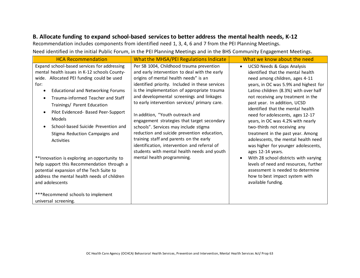#### **B. Allocate funding to expand school-based services to better address the mental health needs, K-12**

Recommendation includes components from identified need 1, 3, 4, 6 and 7 from the PEI Planning Meetings.

| Expand school-based services for addressing                                                                                                                                                                                                                                                                                                                                                                                                                                                                                                                                                                                              | Per SB 1004, Childhood trauma prevention                                                                                                                                                                                                                                                                                                                                                                                                                                                                                                                                                                                                  |                                                                                                                                                                                                                                                                                                                                                                                                                                                                                                                                                                                                                                                                                                                                                        |
|------------------------------------------------------------------------------------------------------------------------------------------------------------------------------------------------------------------------------------------------------------------------------------------------------------------------------------------------------------------------------------------------------------------------------------------------------------------------------------------------------------------------------------------------------------------------------------------------------------------------------------------|-------------------------------------------------------------------------------------------------------------------------------------------------------------------------------------------------------------------------------------------------------------------------------------------------------------------------------------------------------------------------------------------------------------------------------------------------------------------------------------------------------------------------------------------------------------------------------------------------------------------------------------------|--------------------------------------------------------------------------------------------------------------------------------------------------------------------------------------------------------------------------------------------------------------------------------------------------------------------------------------------------------------------------------------------------------------------------------------------------------------------------------------------------------------------------------------------------------------------------------------------------------------------------------------------------------------------------------------------------------------------------------------------------------|
| mental health issues in K-12 schools County-<br>wide. Allocated PEI funding could be used<br>for:<br><b>Educational and Networking Forums</b><br>Trauma-informed Teacher and Staff<br>Trainings/ Parent Education<br>Pilot Evidenced- Based Peer-Support<br>Models<br>School-based Suicide Prevention and<br>Stigma Reduction Campaigns and<br><b>Activities</b><br>**Innovation is exploring an opportunity to<br>help support this Recommendation through a<br>potential expansion of the Tech Suite to<br>address the mental health needs of children<br>and adolescents<br>***Recommend schools to implement<br>universal screening. | and early intervention to deal with the early<br>origins of mental health needs" is an<br>identified priority. Included in these services<br>is the implementation of appropriate trauma<br>and developmental screenings and linkages<br>to early intervention services/ primary care.<br>In addition, "Youth outreach and<br>engagement strategies that target secondary<br>schools". Services may include stigma<br>reduction and suicide prevention education,<br>training staff and parents on the early<br>identification, intervention and referral of<br>students with mental health needs and youth<br>mental health programming. | <b>UCSD Needs &amp; Gaps Analysis</b><br>$\bullet$<br>identified that the mental health<br>need among children, ages 4-11<br>years, in OC was 5.9% and highest for<br>Latino children (8.3%) with over half<br>not receiving any treatment in the<br>past year. In addition, UCSD<br>identified that the mental health<br>need for adolescents, ages 12-17<br>years, in OC was 4.2% with nearly<br>two-thirds not receiving any<br>treatment in the past year. Among<br>adolescents, the mental health need<br>was higher for younger adolescents,<br>ages 12-14 years.<br>With 28 school districts with varying<br>levels of need and resources, further<br>assessment is needed to determine<br>how to best impact system with<br>available funding. |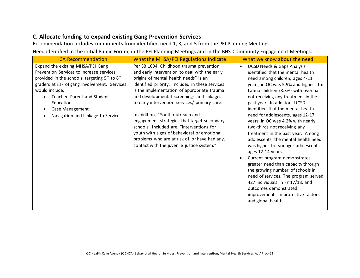#### **C. Allocate funding to expand existing Gang Prevention Services**

Recommendation includes components from identified need 1, 3, and 5 from the PEI Planning Meetings.

| <b>HCA Recommendation</b>                                                                                                                                                                                                                                                                                                      | <b>What the MHSA/PEI Regulations Indicate</b>                                                                                                                                                                                                                                                                                                                                                                                                                                                                                                                                                                    | What we know about the need                                                                                                                                                                                                                                                                                                                                                                                                                                                                                                                                                                                                                                                                                                                                                                                                                        |
|--------------------------------------------------------------------------------------------------------------------------------------------------------------------------------------------------------------------------------------------------------------------------------------------------------------------------------|------------------------------------------------------------------------------------------------------------------------------------------------------------------------------------------------------------------------------------------------------------------------------------------------------------------------------------------------------------------------------------------------------------------------------------------------------------------------------------------------------------------------------------------------------------------------------------------------------------------|----------------------------------------------------------------------------------------------------------------------------------------------------------------------------------------------------------------------------------------------------------------------------------------------------------------------------------------------------------------------------------------------------------------------------------------------------------------------------------------------------------------------------------------------------------------------------------------------------------------------------------------------------------------------------------------------------------------------------------------------------------------------------------------------------------------------------------------------------|
| Expand the existing MHSA/PEI Gang<br>Prevention Services to increase services<br>provided in the schools, targeting 5 <sup>th</sup> to 8 <sup>th</sup><br>graders at risk of gang involvement. Services<br>would include:<br>Teacher, Parent and Student<br>Education<br>Case Management<br>Navigation and Linkage to Services | Per SB 1004, Childhood trauma prevention<br>and early intervention to deal with the early<br>origins of mental health needs" is an<br>identified priority. Included in these services<br>is the implementation of appropriate trauma<br>and developmental screenings and linkages<br>to early intervention services/ primary care.<br>In addition, "Youth outreach and<br>engagement strategies that target secondary<br>schools. Included are, "interventions for<br>youth with signs of behavioral or emotional<br>problems who are at risk of, or have had any,<br>contact with the juvenile justice system." | <b>UCSD Needs &amp; Gaps Analysis</b><br>$\bullet$<br>identified that the mental health<br>need among children, ages 4-11<br>years, in OC was 5.9% and highest for<br>Latino children (8.3%) with over half<br>not receiving any treatment in the<br>past year. In addition, UCSD<br>identified that the mental health<br>need for adolescents, ages 12-17<br>years, in OC was 4.2% with nearly<br>two-thirds not receiving any<br>treatment in the past year. Among<br>adolescents, the mental health need<br>was higher for younger adolescents,<br>ages 12-14 years.<br>Current program demonstrates<br>greater need than capacity through<br>the growing number of schools in<br>need of services. The program served<br>427 individuals in FY 17/18, and<br>outcomes demonstrated<br>improvements in protective factors<br>and global health. |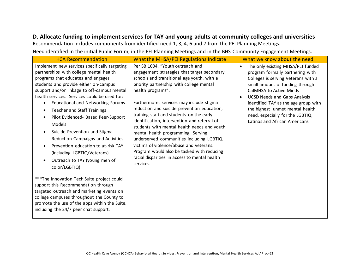## **D. Allocate funding to implement services for TAY and young adults at community colleges and universities**

Recommendation includes components from identified need 1, 3, 4, 6 and 7 from the PEI Planning Meetings.

| <b>HCA Recommendation</b>                                                                                                                                                                                                                                                                                                                                                                                                                                                                                                                                                                                                                                                                                                                                                                                                                                                                       | <b>What the MHSA/PEI Regulations Indicate</b>                                                                                                                                                                                                                                                                                                                                                                                                                                                                                                                                                                                                                                  | What we know about the need                                                                                                                                                                                                                                                                                                                                                    |
|-------------------------------------------------------------------------------------------------------------------------------------------------------------------------------------------------------------------------------------------------------------------------------------------------------------------------------------------------------------------------------------------------------------------------------------------------------------------------------------------------------------------------------------------------------------------------------------------------------------------------------------------------------------------------------------------------------------------------------------------------------------------------------------------------------------------------------------------------------------------------------------------------|--------------------------------------------------------------------------------------------------------------------------------------------------------------------------------------------------------------------------------------------------------------------------------------------------------------------------------------------------------------------------------------------------------------------------------------------------------------------------------------------------------------------------------------------------------------------------------------------------------------------------------------------------------------------------------|--------------------------------------------------------------------------------------------------------------------------------------------------------------------------------------------------------------------------------------------------------------------------------------------------------------------------------------------------------------------------------|
| Implement new services specifically targeting<br>partnerships with college mental health<br>programs that educates and engages<br>students and provide either on-campus<br>support and/or linkage to off-campus mental<br>health services. Services could be used for:<br><b>Educational and Networking Forums</b><br>$\bullet$<br><b>Teacher and Staff Trainings</b><br>Pilot Evidenced- Based Peer-Support<br>Models<br>Suicide Prevention and Stigma<br>Reduction Campaigns and Activities<br>Prevention education to at-risk TAY<br>(including LGBTIQ/Veterans)<br>Outreach to TAY (young men of<br>color/LGBTIQ)<br>*** The Innovation Tech Suite project could<br>support this Recommendation through<br>targeted outreach and marketing events on<br>college campuses throughout the County to<br>promote the use of the apps within the Suite,<br>including the 24/7 peer chat support. | Per SB 1004, "Youth outreach and<br>engagement strategies that target secondary<br>schools and transitional age youth, with a<br>priority partnership with college mental<br>health programs".<br>Furthermore, services may include stigma<br>reduction and suicide prevention education,<br>training staff and students on the early<br>identification, intervention and referral of<br>students with mental health needs and youth<br>mental health programming. Serving<br>underserved communities including LGBTIQ,<br>victims of violence/abuse and veterans.<br>Program would also be tasked with reducing<br>racial disparities in access to mental health<br>services. | The only existing MHSA/PEI funded<br>$\bullet$<br>program formally partnering with<br>Colleges is serving Veterans with a<br>small amount of funding through<br>CalMHSA to Active Minds<br><b>UCSD Needs and Gaps Analysis</b><br>identified TAY as the age group with<br>the highest unmet mental health<br>need, especially for the LGBTIQ,<br>Latinos and African Americans |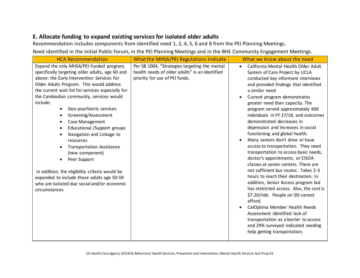# **E. Allocate funding to expand existing services for isolated older adults**

Recommendation includes components from identified need 1, 2, 4, 5, 6 and 8 from the PEI Planning Meetings.

| <b>HCA Recommendation</b>                                                                                                                                                                                                                                                                                                                                                                                                                                                                                                                                                                                                                                                                                                                   | <b>What the MHSA/PEI Regulations Indicate</b>                                                                                     | What we know about the need                                                                                                                                                                                                                                                                                                                                                                                                                                                                                                                                                                                                                                                                                                                                                                                                                                                                                                                                                                                                                  |
|---------------------------------------------------------------------------------------------------------------------------------------------------------------------------------------------------------------------------------------------------------------------------------------------------------------------------------------------------------------------------------------------------------------------------------------------------------------------------------------------------------------------------------------------------------------------------------------------------------------------------------------------------------------------------------------------------------------------------------------------|-----------------------------------------------------------------------------------------------------------------------------------|----------------------------------------------------------------------------------------------------------------------------------------------------------------------------------------------------------------------------------------------------------------------------------------------------------------------------------------------------------------------------------------------------------------------------------------------------------------------------------------------------------------------------------------------------------------------------------------------------------------------------------------------------------------------------------------------------------------------------------------------------------------------------------------------------------------------------------------------------------------------------------------------------------------------------------------------------------------------------------------------------------------------------------------------|
| Expand the only MHSA/PEI-funded program,<br>specifically targeting older adults, age 60 and<br>above: the Early Intervention Services for<br>Older Adults Program. This would address<br>the current wait list for services especially for<br>the Cambodian community, services would<br>include:<br>Geo-psychiatric services<br>$\bullet$<br>Screening/Assessment<br>٠<br><b>Case Management</b><br>$\bullet$<br>Educational /Support groups<br>$\bullet$<br>Navigation and Linkage to<br>resources<br><b>Transportation Assistance</b><br>(new component)<br>Peer Support<br>In addition, the eligibility criteria would be<br>expanded to include those adults age 50-59<br>who are isolated due social and/or economic<br>circumstances | Per SB 1004, "Strategies targeting the mental<br>health needs of older adults" is an identified<br>priority for use of PEI funds. | California Mental Health Older Adult<br>$\bullet$<br>System of Care Project by UCLA<br>conducted key informant interviews<br>and provided findings that identified<br>a similar need<br>Current program demonstrates<br>greater need than capacity. The<br>program served approximately 600<br>individuals in FY 17/18, and outcomes<br>demonstrated decreases in<br>depression and increases in social<br>functioning and global health.<br>Many seniors don't drive or have<br>access to transportation. They need<br>transportation to access basic needs,<br>doctor's appointments, or EISOA<br>classes at senior centers. There are<br>not sufficient bus routes. Takes 2-3<br>hours to reach their destination. In<br>addition, Senior Access program but<br>has restricted access. Also, the cost is<br>\$7.20/ride. People on SSI cannot<br>afford.<br>CalOptima Member Health Needs<br>Assessment identified lack of<br>transportation as a barrier to access<br>and 29% surveyed indicated needing<br>help getting transportation. |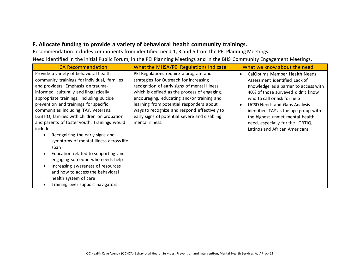### **F. Allocate funding to provide a variety of behavioral health community trainings.**

Recommendation includes components from identified need 1, 3 and 5 from the PEI Planning Meetings. Need identified in the initial Public Forum, in the PEI Planning Meetings and in the BHS Community Engagement Meetings.

| <b>HCA Recommendation</b>                                                                                                                                                                                                                                                                                                                                                                                                                                                                                                                                                                                                                                                                                            | <b>What the MHSA/PEI Regulations Indicate</b>                                                                                                                                                                                                                                                                                                                                                  | What we know about the need                                                                                                                                                                                                                                                                                                                                                     |
|----------------------------------------------------------------------------------------------------------------------------------------------------------------------------------------------------------------------------------------------------------------------------------------------------------------------------------------------------------------------------------------------------------------------------------------------------------------------------------------------------------------------------------------------------------------------------------------------------------------------------------------------------------------------------------------------------------------------|------------------------------------------------------------------------------------------------------------------------------------------------------------------------------------------------------------------------------------------------------------------------------------------------------------------------------------------------------------------------------------------------|---------------------------------------------------------------------------------------------------------------------------------------------------------------------------------------------------------------------------------------------------------------------------------------------------------------------------------------------------------------------------------|
| Provide a variety of behavioral health<br>community trainings for individual, families<br>and providers. Emphasis on trauma-<br>informed, culturally and linguistically<br>appropriate trainings, including suicide<br>prevention and trainings for specific<br>communities including TAY, Veterans,<br>LGBTIQ, families with children on probation<br>and parents of foster youth. Trainings would<br>include:<br>Recognizing the early signs and<br>symptoms of mental illness across life<br>span<br>Education related to supporting and<br>engaging someone who needs help<br>Increasing awareness of resources<br>and how to access the behavioral<br>health system of care<br>Training peer support navigators | PEI Regulations require a program and<br>strategies for Outreach for increasing<br>recognition of early signs of mental Illness,<br>which is defined as the process of engaging,<br>encouraging, educating and/or training and<br>learning from potential responders about<br>ways to recognize and respond effectively to<br>early signs of potential severe and disabling<br>mental illness. | CalOptima Member Health Needs<br>$\bullet$<br>Assessment identified Lack of<br>Knowledge as a barrier to access with<br>40% of those surveyed didn't know<br>who to call or ask for help<br><b>UCSD Needs and Gaps Analysis</b><br>identified TAY as the age group with<br>the highest unmet mental health<br>need, especially for the LGBTIQ,<br>Latinos and African Americans |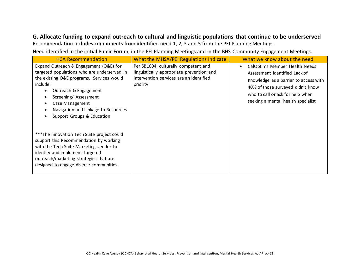## **G. Allocate funding to expand outreach to cultural and linguistic populations that continue to be underserved**

Recommendation includes components from identified need 1, 2, 3 and 5 from the PEI Planning Meetings.

| <b>HCA Recommendation</b>                                                                                                                                                                                                                                                                                                                                | <b>What the MHSA/PEI Regulations Indicate</b>                                                                                            | What we know about the need                                                                                                                                                                                                         |
|----------------------------------------------------------------------------------------------------------------------------------------------------------------------------------------------------------------------------------------------------------------------------------------------------------------------------------------------------------|------------------------------------------------------------------------------------------------------------------------------------------|-------------------------------------------------------------------------------------------------------------------------------------------------------------------------------------------------------------------------------------|
| Expand Outreach & Engagement (O&E) for<br>targeted populations who are underserved in<br>the existing O&E programs. Services would<br>include:<br>Outreach & Engagement<br>$\bullet$<br>Screening/Assessment<br>$\bullet$<br>Case Management<br>$\bullet$<br>Navigation and Linkage to Resources<br>$\bullet$<br>Support Groups & Education<br>$\bullet$ | Per SB1004, culturally competent and<br>linguistically appropriate prevention and<br>intervention services are an identified<br>priority | CalOptima Member Health Needs<br>$\bullet$<br>Assessment identified Lack of<br>Knowledge as a barrier to access with<br>40% of those surveyed didn't know<br>who to call or ask for help when<br>seeking a mental health specialist |
| ***The Innovation Tech Suite project could<br>support this Recommendation by working<br>with the Tech Suite Marketing vendor to<br>identify and implement targeted<br>outreach/marketing strategies that are<br>designed to engage diverse communities.                                                                                                  |                                                                                                                                          |                                                                                                                                                                                                                                     |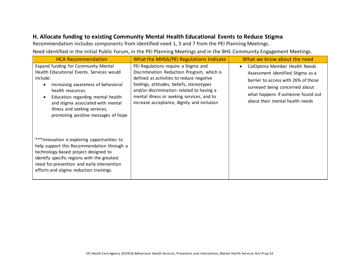# **H. Allocate funding to existing Community Mental Health Educational Events to Reduce Stigma**

Recommendation includes components from identified need 1, 3 and 7 from the PEI Planning Meetings.

| <b>HCA Recommendation</b>                                                                                                                                                                                                                                                                                | <b>What the MHSA/PEI Regulations Indicate</b>                                                                                                                                                                                                                                                                        | What we know about the need                                                                                                                                                                                         |
|----------------------------------------------------------------------------------------------------------------------------------------------------------------------------------------------------------------------------------------------------------------------------------------------------------|----------------------------------------------------------------------------------------------------------------------------------------------------------------------------------------------------------------------------------------------------------------------------------------------------------------------|---------------------------------------------------------------------------------------------------------------------------------------------------------------------------------------------------------------------|
| Expand funding for Community Mental<br>Health Educational Events. Services would<br>include:<br>Increasing awareness of behavioral<br>health resources<br>Education regarding mental health<br>and stigma associated with mental<br>illness and seeking services,<br>promoting positive messages of hope | PEI Regulations require a Stigma and<br>Discrimination Reduction Program, which is<br>defined as activities to reduce negative<br>feelings, attitudes, beliefs, stereotypes<br>and/or discrimination related to having a<br>mental illness or seeking services, and to<br>increase acceptance, dignity and inclusion | CalOptima Member Health Needs<br>Assessment identified Stigma as a<br>barrier to access with 26% of those<br>surveyed being concerned about<br>what happens if someone found out<br>about their mental health needs |
| ***Innovation is exploring opportunities to<br>help support this Recommendation through a<br>technology-based project designed to<br>identify specific regions with the greatest<br>need for prevention and early intervention<br>efforts and stigma reduction trainings.                                |                                                                                                                                                                                                                                                                                                                      |                                                                                                                                                                                                                     |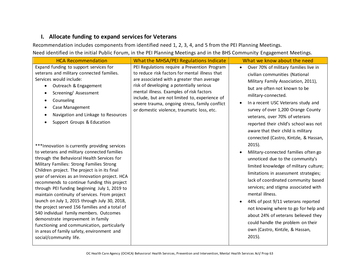#### **I. Allocate funding to expand services for Veterans**

Recommendation includes components from identified need 1, 2, 3, 4, and 5 from the PEI Planning Meetings. Need identified in the initial Public Forum, in the PEI Planning Meetings and in the BHS Community Engagement Meetings.

| <b>HCA Recommendation</b>                                                                                                                                                                                                                                                                                                                                                                                                                                                                                                                                                                                                                                                                                                                                                                                                                                                                                                                                                                                                                           | What the MHSA/PEI Regulations Indicate                                                                                                                                                                                                                                                                                                                                                 | What we know about the need                                                                                                                                                                                                                                                                                                                                                                                                                                                                                                                                                                                                                                                                                                                                                                                                                                                                                       |
|-----------------------------------------------------------------------------------------------------------------------------------------------------------------------------------------------------------------------------------------------------------------------------------------------------------------------------------------------------------------------------------------------------------------------------------------------------------------------------------------------------------------------------------------------------------------------------------------------------------------------------------------------------------------------------------------------------------------------------------------------------------------------------------------------------------------------------------------------------------------------------------------------------------------------------------------------------------------------------------------------------------------------------------------------------|----------------------------------------------------------------------------------------------------------------------------------------------------------------------------------------------------------------------------------------------------------------------------------------------------------------------------------------------------------------------------------------|-------------------------------------------------------------------------------------------------------------------------------------------------------------------------------------------------------------------------------------------------------------------------------------------------------------------------------------------------------------------------------------------------------------------------------------------------------------------------------------------------------------------------------------------------------------------------------------------------------------------------------------------------------------------------------------------------------------------------------------------------------------------------------------------------------------------------------------------------------------------------------------------------------------------|
| Expand funding to support services for<br>veterans and military connected families.<br>Services would include:<br>Outreach & Engagement<br>$\bullet$<br>Screening/Assessment<br>Counseling<br><b>Case Management</b><br>Navigation and Linkage to Resources<br>Support Groups & Education<br>*** Innovation is currently providing services<br>to veterans and military connected families<br>through the Behavioral Health Services for<br>Military Families: Strong Families Strong<br>Children project. The project is in its final<br>year of services as an Innovation project. HCA<br>recommends to continue funding this project<br>through PEI funding beginning July 1, 2019 to<br>maintain continuity of services. From project<br>launch on July 1, 2015 through July 30, 2018,<br>the project served 156 families and a total of<br>540 individual family members. Outcomes<br>demonstrate improvement in family<br>functioning and communication, particularly<br>in areas of family safety, environment and<br>social/community life. | PEI Regulations require a Prevention Program<br>to reduce risk factors for mental illness that<br>are associated with a greater than average<br>risk of developing a potentially serious<br>mental illness. Examples of risk factors<br>include, but are not limited to, experience of<br>severe trauma, ongoing stress, family conflict<br>or domestic violence, traumatic loss, etc. | Over 70% of military families live in<br>$\bullet$<br>civilian communities (National<br>Military Family Association, 2011),<br>but are often not known to be<br>military-connected.<br>In a recent USC Veterans study and<br>survey of over 1,200 Orange County<br>veterans, over 70% of veterans<br>reported their child's school was not<br>aware that their child is military<br>connected (Castro, Kintzle, & Hassan,<br>$2015$ ).<br>Military-connected families often go<br>unnoticed due to the community's<br>limited knowledge of military culture;<br>limitations in assessment strategies;<br>lack of coordinated community based<br>services; and stigma associated with<br>mental illness.<br>44% of post 9/11 veterans reported<br>not knowing where to go for help and<br>about 24% of veterans believed they<br>could handle the problem on their<br>own (Castro, Kintzle, & Hassan,<br>$2015$ ). |
|                                                                                                                                                                                                                                                                                                                                                                                                                                                                                                                                                                                                                                                                                                                                                                                                                                                                                                                                                                                                                                                     |                                                                                                                                                                                                                                                                                                                                                                                        |                                                                                                                                                                                                                                                                                                                                                                                                                                                                                                                                                                                                                                                                                                                                                                                                                                                                                                                   |